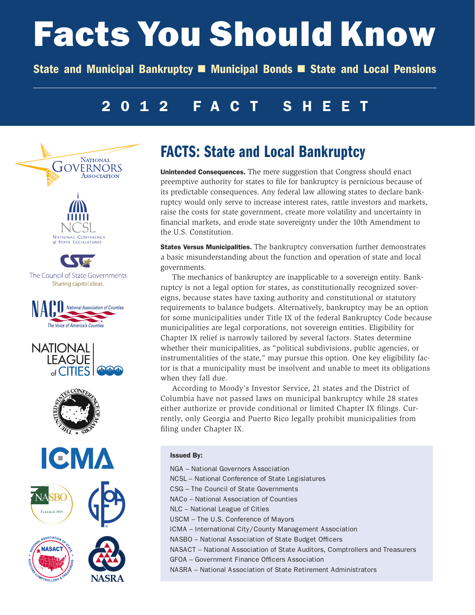# Facts You Should Know

State and Municipal Bankruptcy **n** Municipal Bonds **n** State and Local Pensions

# 2012 FACT SHEET



# FACTS: State and Local Bankruptcy

Unintended Consequences. The mere suggestion that Congress should enact preemptive authority for states to file for bankruptcy is pernicious because of its predictable consequences. Any federal law allowing states to declare bankruptcy would only serve to increase interest rates, rattle investors and markets, raise the costs for state government, create more volatility and uncertainty in financial markets, and erode state sovereignty under the 10th Amendment to the U.S. Constitution.

States Versus Municipalities. The bankruptcy conversation further demonstrates a basic misunderstanding about the function and operation of state and local governments.

The mechanics of bankruptcy are inapplicable to a sovereign entity. Bankruptcy is not a legal option for states, as constitutionally recognized sovereigns, because states have taxing authority and constitutional or statutory requirements to balance budgets. Alternatively, bankruptcy may be an option for some municipalities under Title IX of the federal Bankruptcy Code because municipalities are legal corporations, not sovereign entities. Eligibility for Chapter IX relief is narrowly tailored by several factors. States determine whether their municipalities, as "political subdivisions, public agencies, or instrumentalities of the state," may pursue this option. One key eligibility factor is that a municipality must be insolvent and unable to meet its obligations when they fall due.

According to Moody's Investor Service, 21 states and the District of Columbia have not passed laws on municipal bankruptcy while 28 states either authorize or provide conditional or limited Chapter IX filings. Currently, only Georgia and Puerto Rico legally prohibit municipalities from filing under Chapter IX.

### Issued By:

NGA – National Governors Association NCSL – National Conference of State Legislatures CSG – The Council of State Governments NACo – National Association of Counties NLC – National League of Cities USCM – The U.S. Conference of Mayors ICMA – International City/County Management Association NASBO – National Association of State Budget Officers NASACT – National Association of State Auditors, Comptrollers and Treasurers GFOA – Government Finance Officers Association NASRA – National Association of State Retirement Administrators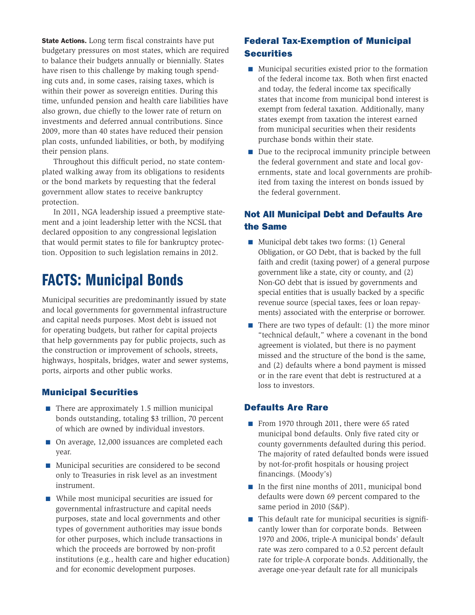State Actions. Long term fiscal constraints have put budgetary pressures on most states, which are required to balance their budgets annually or biennially. States have risen to this challenge by making tough spending cuts and, in some cases, raising taxes, which is within their power as sovereign entities. During this time, unfunded pension and health care liabilities have also grown, due chiefly to the lower rate of return on investments and deferred annual contributions. Since 2009, more than 40 states have reduced their pension plan costs, unfunded liabilities, or both, by modifying their pension plans.

Throughout this difficult period, no state contemplated walking away from its obligations to residents or the bond markets by requesting that the federal government allow states to receive bankruptcy protection.

In 2011, NGA leadership issued a preemptive statement and a joint leadership letter with the NCSL that declared opposition to any congressional legislation that would permit states to file for bankruptcy protection. Opposition to such legislation remains in 2012.

# FACTS: Municipal Bonds

Municipal securities are predominantly issued by state and local governments for governmental infrastructure and capital needs purposes. Most debt is issued not for operating budgets, but rather for capital projects that help governments pay for public projects, such as the construction or improvement of schools, streets, highways, hospitals, bridges, water and sewer systems, ports, airports and other public works.

## Municipal Securities

- There are approximately 1.5 million municipal bonds outstanding, totaling \$3 trillion, 70 percent of which are owned by individual investors.
- On average, 12,000 issuances are completed each year.
- Municipal securities are considered to be second only to Treasuries in risk level as an investment instrument.
- While most municipal securities are issued for governmental infrastructure and capital needs purposes, state and local governments and other types of government authorities may issue bonds for other purposes, which include transactions in which the proceeds are borrowed by non-profit institutions (e.g., health care and higher education) and for economic development purposes.

## Federal Tax-Exemption of Municipal **Securities**

- Municipal securities existed prior to the formation of the federal income tax. Both when first enacted and today, the federal income tax specifically states that income from municipal bond interest is exempt from federal taxation. Additionally, many states exempt from taxation the interest earned from municipal securities when their residents purchase bonds within their state.
- Due to the reciprocal immunity principle between the federal government and state and local governments, state and local governments are prohibited from taxing the interest on bonds issued by the federal government.

## Not All Municipal Debt and Defaults Are the Same

- Municipal debt takes two forms: (1) General Obligation, or GO Debt, that is backed by the full faith and credit (taxing power) of a general purpose government like a state, city or county, and (2) Non-GO debt that is issued by governments and special entities that is usually backed by a specific revenue source (special taxes, fees or loan repayments) associated with the enterprise or borrower.
- There are two types of default: (1) the more minor "technical default," where a covenant in the bond agreement is violated, but there is no payment missed and the structure of the bond is the same, and (2) defaults where a bond payment is missed or in the rare event that debt is restructured at a loss to investors.

## Defaults Are Rare

- From 1970 through 2011, there were 65 rated municipal bond defaults. Only five rated city or county governments defaulted during this period. The majority of rated defaulted bonds were issued by not-for-profit hospitals or housing project financings. (Moody's)
- In the first nine months of 2011, municipal bond defaults were down 69 percent compared to the same period in 2010 (S&P).
- This default rate for municipal securities is significantly lower than for corporate bonds. Between 1970 and 2006, triple-A municipal bonds' default rate was zero compared to a 0.52 percent default rate for triple-A corporate bonds. Additionally, the average one-year default rate for all municipals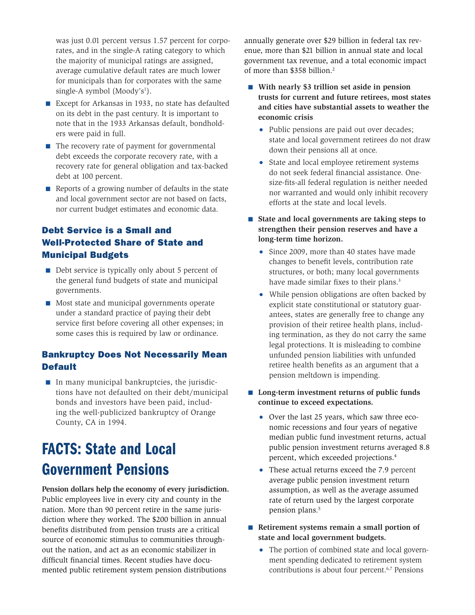was just 0.01 percent versus 1.57 percent for corporates, and in the single-A rating category to which the majority of municipal ratings are assigned, average cumulative default rates are much lower for municipals than for corporates with the same single-A symbol (Moody's<sup>1</sup>).

- Except for Arkansas in 1933, no state has defaulted on its debt in the past century. It is important to note that in the 1933 Arkansas default, bondholders were paid in full.
- The recovery rate of payment for governmental debt exceeds the corporate recovery rate, with a recovery rate for general obligation and tax-backed debt at 100 percent.
- Reports of a growing number of defaults in the state and local government sector are not based on facts, nor current budget estimates and economic data.

## Debt Service is a Small and Well-Protected Share of State and Municipal Budgets

- Debt service is typically only about 5 percent of the general fund budgets of state and municipal governments.
- Most state and municipal governments operate under a standard practice of paying their debt service first before covering all other expenses; in some cases this is required by law or ordinance.

## Bankruptcy Does Not Necessarily Mean **Default**

■ In many municipal bankruptcies, the jurisdictions have not defaulted on their debt/municipal bonds and investors have been paid, including the well-publicized bankruptcy of Orange County, CA in 1994.

# FACTS: State and Local Government Pensions

**Pension dollars help the economy of every jurisdiction.**  Public employees live in every city and county in the nation. More than 90 percent retire in the same jurisdiction where they worked. The \$200 billion in annual benefits distributed from pension trusts are a critical source of economic stimulus to communities throughout the nation, and act as an economic stabilizer in difficult financial times. Recent studies have documented public retirement system pension distributions

annually generate over \$29 billion in federal tax revenue, more than \$21 billion in annual state and local government tax revenue, and a total economic impact of more than \$358 billion.2

- **With nearly \$3 trillion set aside in pension trusts for current and future retirees, most states and cities have substantial assets to weather the economic crisis** 
	- Public pensions are paid out over decades; state and local government retirees do not draw down their pensions all at once.
	- State and local employee retirement systems do not seek federal financial assistance. Onesize-fits-all federal regulation is neither needed nor warranted and would only inhibit recovery efforts at the state and local levels.
- **State and local governments are taking steps to strengthen their pension reserves and have a long-term time horizon**.
	- Since 2009, more than 40 states have made changes to benefit levels, contribution rate structures, or both; many local governments have made similar fixes to their plans.<sup>3</sup>
	- While pension obligations are often backed by explicit state constitutional or statutory guarantees, states are generally free to change any provision of their retiree health plans, including termination, as they do not carry the same legal protections. It is misleading to combine unfunded pension liabilities with unfunded retiree health benefits as an argument that a pension meltdown is impending.
- Long-term investment returns of public funds **continue to exceed expectations.**
	- Over the last 25 years, which saw three economic recessions and four years of negative median public fund investment returns, actual public pension investment returns averaged 8.8 percent, which exceeded projections.4
	- These actual returns exceed the 7.9 percent average public pension investment return assumption, as well as the average assumed rate of return used by the largest corporate pension plans.<sup>5</sup>
- **Retirement systems remain a small portion of state and local government budgets.**
	- The portion of combined state and local government spending dedicated to retirement system contributions is about four percent.6,7 Pensions